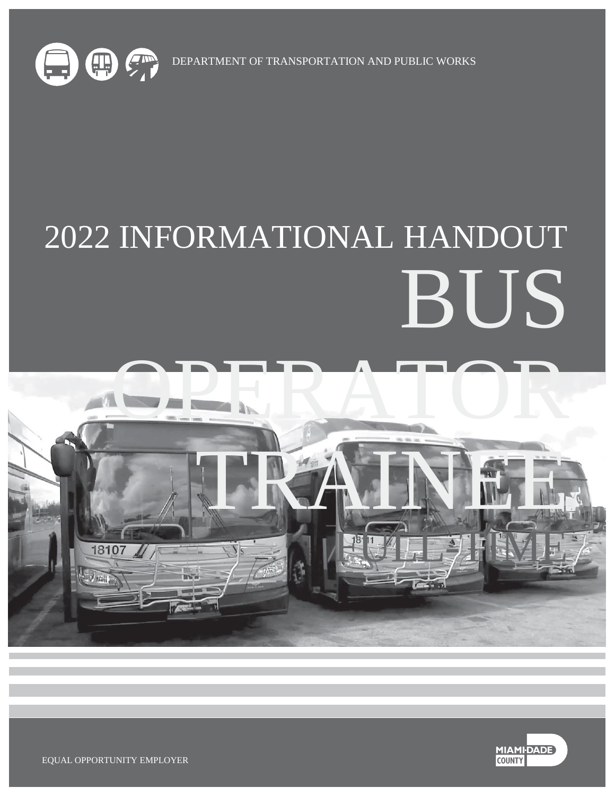

DEPARTMENT OF TRANSPORTATION AND PUBLIC WORKS

# 2022 INFORMATIONAL HANDOUT BUS





EQUAL OPPORTUNITY EMPLOYER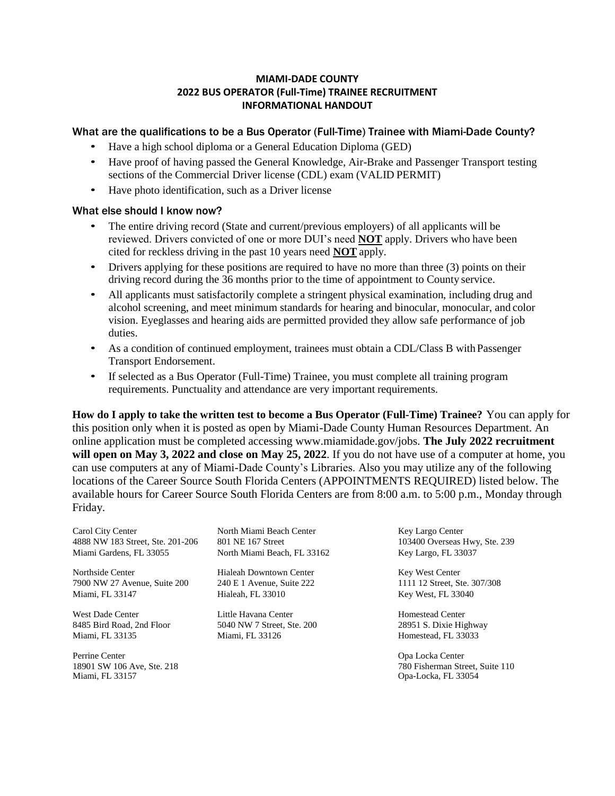### **MIAMI-DADE COUNTY 2022 BUS OPERATOR (Full-Time) TRAINEE RECRUITMENT INFORMATIONAL HANDOUT**

### What are the qualifications to be a Bus Operator (Full-Time) Trainee with Miami-Dade County?

- Have a high school diploma or a General Education Diploma (GED)
- Have proof of having passed the General Knowledge, Air-Brake and Passenger Transport testing sections of the Commercial Driver license (CDL) exam (VALID PERMIT)
- Have photo identification, such as a Driver license

### What else should I know now?

- The entire driving record (State and current/previous employers) of all applicants will be reviewed. Drivers convicted of one or more DUI's need **NOT** apply. Drivers who have been cited for reckless driving in the past 10 years need **NOT** apply.
- Drivers applying for these positions are required to have no more than three (3) points on their driving record during the 36 months prior to the time of appointment to County service.
- All applicants must satisfactorily complete a stringent physical examination, including drug and alcohol screening, and meet minimum standards for hearing and binocular, monocular, and color vision. Eyeglasses and hearing aids are permitted provided they allow safe performance of job duties.
- As a condition of continued employment, trainees must obtain a CDL/Class B with Passenger Transport Endorsement.
- If selected as a Bus Operator (Full-Time) Trainee, you must complete all training program requirements. Punctuality and attendance are very important requirements.

**How do I apply to take the written test to become a Bus Operator (Full-Time) Trainee?** You can apply for this position only when it is posted as open by Miami-Dade County Human Resources Department. An online application must be completed accessing [www.miamidade.gov/jobs.](http://www.miamidade.gov/jobs) **The July 2022 recruitment will open on May 3, 2022 and close on May 25, 2022**. If you do not have use of a computer at home, you can use computers at any of Miami-Dade County's Libraries. Also you may utilize any of the following locations of the Career Source South Florida Centers (APPOINTMENTS REQUIRED) listed below. The available hours for Career Source South Florida Centers are from 8:00 a.m. to 5:00 p.m., Monday through Friday.

Carol City Center Morth Miami Beach Center Key Largo Center (103400 Overseas Hwy, Ste. 239<br>
4888 NW 183 Street, Ste. 201-206 (1031 NE 167 Street (103400 Overseas Hwy, Ste. 239) 4888 NW 183 Street, Ste. 201-206 801 NE 167 Street Miami Gardens, FL 33055 North Miami Beach, FL 33162 Key Largo, FL 33037

Northside Center Hialeah Downtown Center Key West Center<br>
7900 NW 27 Avenue, Suite 200 240 E 1 Avenue, Suite 222 1111 12 Street, Ste. 307/308 7900 NW 27 Avenue, Suite 200 240 E 1 Avenue, Suite 222 Miami, FL 33147 **Hialeah, FL 33010** Key West, FL 33040

Perrine Center **Center** Opa Locka Center **Opa Locka Center** Opa Locka Center 18901 SW 106 Ave, Ste. 218 Miami, FL 33157

West Dade Center **Little Havana Center Homestead Center Homestead Center** 8485 Bird Road, 2nd Floor 5040 NW 7 Street, Ste. 200 28951 S. Dixie Highway Miami, FL 33135 Miami, FL 33126 Homestead, FL 33033

780 Fisherman Street, Suite 110 Opa-Locka, FL 33054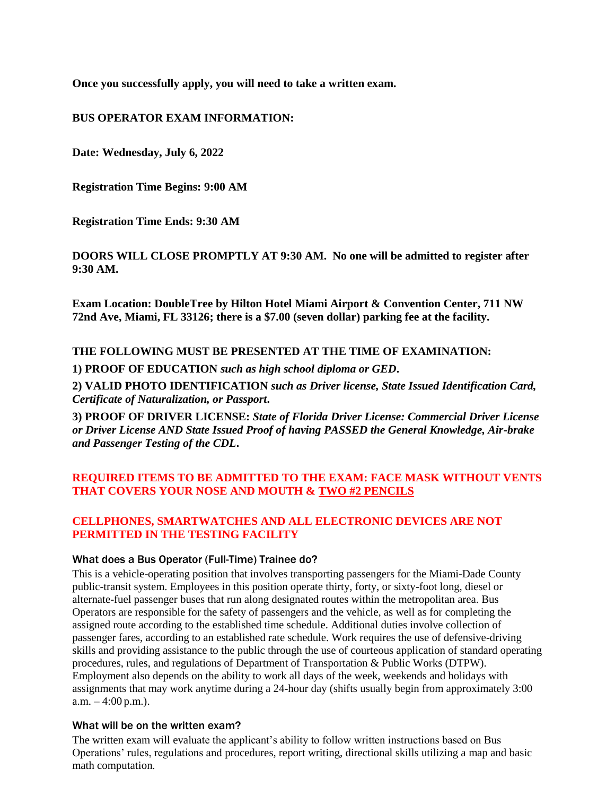**Once you successfully apply, you will need to take a written exam.** 

### **BUS OPERATOR EXAM INFORMATION:**

**Date: Wednesday, July 6, 2022**

**Registration Time Begins: 9:00 AM**

**Registration Time Ends: 9:30 AM**

**DOORS WILL CLOSE PROMPTLY AT 9:30 AM. No one will be admitted to register after 9:30 AM.**

**Exam Location: DoubleTree by Hilton Hotel Miami Airport & Convention Center, 711 NW 72nd Ave, Miami, FL 33126; there is a \$7.00 (seven dollar) parking fee at the facility.**

### **THE FOLLOWING MUST BE PRESENTED AT THE TIME OF EXAMINATION:**

**1) PROOF OF EDUCATION** *such as high school diploma or GED***.**

**2) VALID PHOTO IDENTIFICATION** *such as Driver license, State Issued Identification Card, Certificate of Naturalization, or Passport***.**

**3) PROOF OF DRIVER LICENSE:** *State of Florida Driver License: Commercial Driver License or Driver License AND State Issued Proof of having PASSED the General Knowledge, Air-brake and Passenger Testing of the CDL***.**

# **REQUIRED ITEMS TO BE ADMITTED TO THE EXAM: FACE MASK WITHOUT VENTS THAT COVERS YOUR NOSE AND MOUTH & TWO #2 PENCILS**

# **CELLPHONES, SMARTWATCHES AND ALL ELECTRONIC DEVICES ARE NOT PERMITTED IN THE TESTING FACILITY**

### What does a Bus Operator (Full-Time) Trainee do?

This is a vehicle-operating position that involves transporting passengers for the Miami-Dade County public-transit system. Employees in this position operate thirty, forty, or sixty-foot long, diesel or alternate-fuel passenger buses that run along designated routes within the metropolitan area. Bus Operators are responsible for the safety of passengers and the vehicle, as well as for completing the assigned route according to the established time schedule. Additional duties involve collection of passenger fares, according to an established rate schedule. Work requires the use of defensive-driving skills and providing assistance to the public through the use of courteous application of standard operating procedures, rules, and regulations of Department of Transportation & Public Works (DTPW). Employment also depends on the ability to work all days of the week, weekends and holidays with assignments that may work anytime during a 24-hour day (shifts usually begin from approximately 3:00 a.m.  $-4:00$  p.m.).

### What will be on the written exam?

The written exam will evaluate the applicant's ability to follow written instructions based on Bus Operations' rules, regulations and procedures, report writing, directional skills utilizing a map and basic math computation.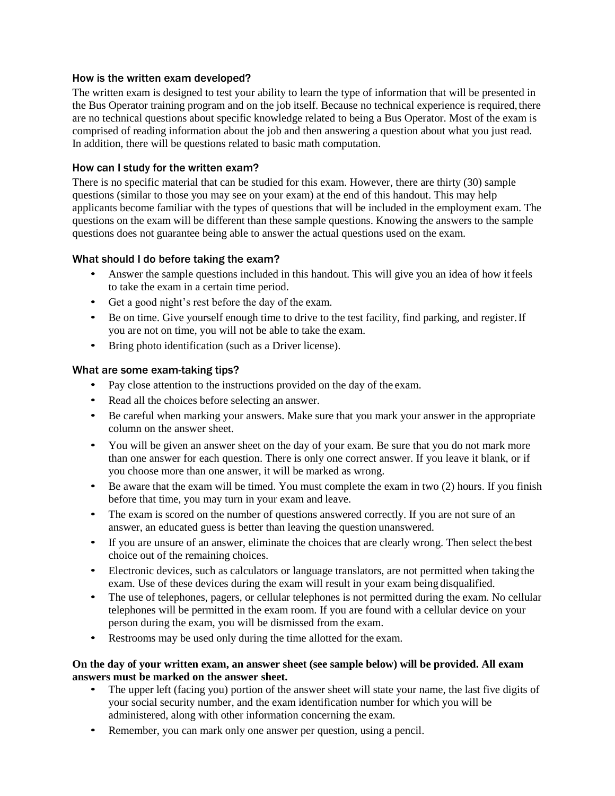### How is the written exam developed?

The written exam is designed to test your ability to learn the type of information that will be presented in the Bus Operator training program and on the job itself. Because no technical experience is required, there are no technical questions about specific knowledge related to being a Bus Operator. Most of the exam is comprised of reading information about the job and then answering a question about what you just read. In addition, there will be questions related to basic math computation.

### How can I study for the written exam?

There is no specific material that can be studied for this exam. However, there are thirty (30) sample questions (similar to those you may see on your exam) at the end of this handout. This may help applicants become familiar with the types of questions that will be included in the employment exam. The questions on the exam will be different than these sample questions. Knowing the answers to the sample questions does not guarantee being able to answer the actual questions used on the exam.

# What should I do before taking the exam?

- Answer the sample questions included in this handout. This will give you an idea of how it feels to take the exam in a certain time period.
- Get a good night's rest before the day of the exam.
- Be on time. Give yourself enough time to drive to the test facility, find parking, and register. If you are not on time, you will not be able to take the exam.
- Bring photo identification (such as a Driver license).

### What are some exam-taking tips?

- Pay close attention to the instructions provided on the day of the exam.
- Read all the choices before selecting an answer.
- Be careful when marking your answers. Make sure that you mark your answer in the appropriate column on the answer sheet.
- You will be given an answer sheet on the day of your exam. Be sure that you do not mark more than one answer for each question. There is only one correct answer. If you leave it blank, or if you choose more than one answer, it will be marked as wrong.
- Be aware that the exam will be timed. You must complete the exam in two (2) hours. If you finish before that time, you may turn in your exam and leave.
- The exam is scored on the number of questions answered correctly. If you are not sure of an answer, an educated guess is better than leaving the question unanswered.
- If you are unsure of an answer, eliminate the choices that are clearly wrong. Then select the best choice out of the remaining choices.
- Electronic devices, such as calculators or language translators, are not permitted when taking the exam. Use of these devices during the exam will result in your exam being disqualified.
- The use of telephones, pagers, or cellular telephones is not permitted during the exam. No cellular telephones will be permitted in the exam room. If you are found with a cellular device on your person during the exam, you will be dismissed from the exam.
- Restrooms may be used only during the time allotted for the exam.

### **On the day of your written exam, an answer sheet (see sample below) will be provided. All exam answers must be marked on the answer sheet.**

- The upper left (facing you) portion of the answer sheet will state your name, the last five digits of your social security number, and the exam identification number for which you will be administered, along with other information concerning the exam.
- Remember, you can mark only one answer per question, using a pencil.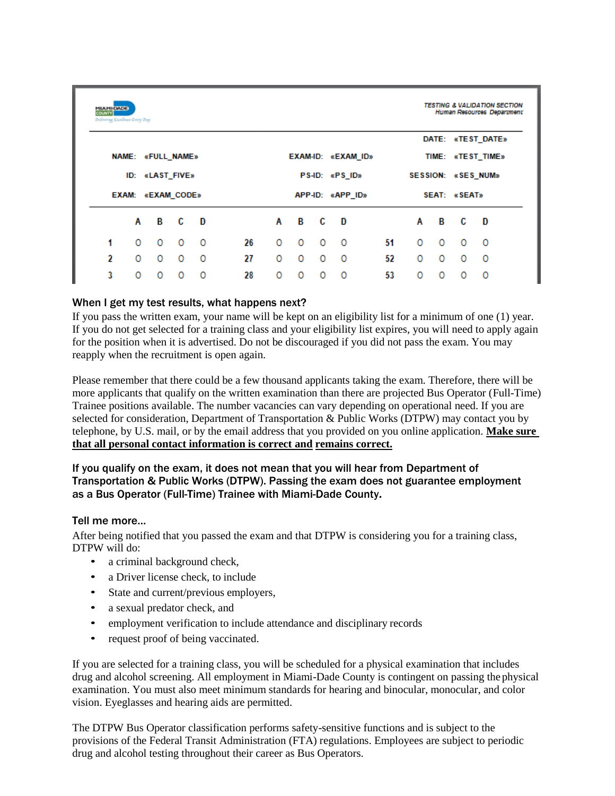| COUNTY | <b>TESTING &amp; VALIDATION SECTION</b><br><b>MIAMI-DADE</b><br>Human Resources Department<br><b>Delivering Exertionse Every Day</b> |          |                |          |                    |   |                         |              |                    |    |   |   |         |                   |  |
|--------|--------------------------------------------------------------------------------------------------------------------------------------|----------|----------------|----------|--------------------|---|-------------------------|--------------|--------------------|----|---|---|---------|-------------------|--|
|        |                                                                                                                                      |          |                |          |                    |   |                         |              |                    |    |   |   |         | DATE: «TEST DATE» |  |
|        | <b>NAME: «FULL NAME»</b>                                                                                                             |          |                |          | EXAM-ID: «EXAM ID» |   |                         |              | TIME: «TEST TIME»  |    |   |   |         |                   |  |
|        | ID: «LAST FIVE»                                                                                                                      |          |                |          | PS-ID: «PS ID»     |   |                         |              | SESSION: «SES NUM» |    |   |   |         |                   |  |
|        | EXAM: «EXAM CODE»                                                                                                                    |          |                |          | APP-ID: «APP_ID»   |   |                         | SEAT: «SEAT» |                    |    |   |   |         |                   |  |
|        | Α                                                                                                                                    |          | B <sub>c</sub> | <b>D</b> |                    | A | $\overline{\mathbf{B}}$ | C D          |                    |    | A | В | C       | <b>D</b>          |  |
| 1      | 0                                                                                                                                    | $\circ$  | $\circ$        | $\circ$  | 26                 | 0 | $\overline{\mathbf{0}}$ | $\circ$      | - 0                | 51 | 0 | O | $\circ$ | 0                 |  |
| 2      | 0                                                                                                                                    | $\circ$  | 0              | 0        | 27                 | 0 | 0                       | 0            | 0                  | 52 | 0 | 0 | $\circ$ | 0                 |  |
| 3      | $\Omega$                                                                                                                             | $\Omega$ |                | O        | 28                 | 0 | 0                       | 0            | $\circ$            | 53 | O | O | O       | 0                 |  |

# When I get my test results, what happens next?

If you pass the written exam, your name will be kept on an eligibility list for a minimum of one (1) year. If you do not get selected for a training class and your eligibility list expires, you will need to apply again for the position when it is advertised. Do not be discouraged if you did not pass the exam. You may reapply when the recruitment is open again.

Please remember that there could be a few thousand applicants taking the exam. Therefore, there will be more applicants that qualify on the written examination than there are projected Bus Operator (Full-Time) Trainee positions available. The number vacancies can vary depending on operational need. If you are selected for consideration, Department of Transportation & Public Works (DTPW) may contact you by telephone, by U.S. mail, or by the email address that you provided on you online application. **Make sure that all personal contact information is correct and remains correct.**

# If you qualify on the exam, it does not mean that you will hear from Department of Transportation & Public Works (DTPW). Passing the exam does not guarantee employment as a Bus Operator (Full-Time) Trainee with Miami-Dade County**.**

# Tell me more…

After being notified that you passed the exam and that DTPW is considering you for a training class, DTPW will do:

- a criminal background check,
- a Driver license check, to include
- State and current/previous employers,
- a sexual predator check, and
- employment verification to include attendance and disciplinary records
- request proof of being vaccinated.

If you are selected for a training class, you will be scheduled for a physical examination that includes drug and alcohol screening. All employment in Miami-Dade County is contingent on passing thephysical examination. You must also meet minimum standards for hearing and binocular, monocular, and color vision. Eyeglasses and hearing aids are permitted.

The DTPW Bus Operator classification performs safety-sensitive functions and is subject to the provisions of the Federal Transit Administration (FTA) regulations. Employees are subject to periodic drug and alcohol testing throughout their career as Bus Operators.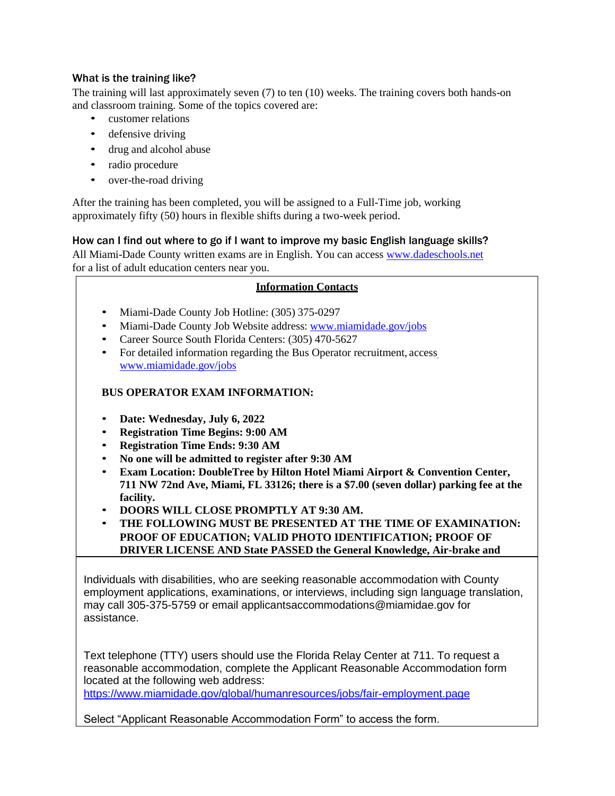# What is the training like?

The training will last approximately seven (7) to ten (10) weeks. The training covers both hands-on and classroom training. Some of the topics covered are:

- customer relations
- defensive driving
- drug and alcohol abuse
- radio procedure
- over-the-road driving

After the training has been completed, you will be assigned to a Full-Time job, working approximately fifty (50) hours in flexible shifts during a two-week period.

# How can I find out where to go if I want to improve my basic English language skills?

All Miami-Dade County written exams are in English. You can access [www.dadeschools.net](http://www.dadeschools.net/) for a list of adult education centers near you.

### **Information Contacts**

- Miami-Dade County Job Hotline: (305) 375-0297
- Miami-Dade County Job Website address: [www.miamidade.gov/jobs](http://www.miamidade.gov/jobs)
- Career Source South Florida Centers: (305) 470-5627
- For detailed information regarding the Bus Operator recruitment, acces[s](http://www.miamidade.gov/jobs) [www.miamidade.gov/jobs](http://www.miamidade.gov/jobs)

# **BUS OPERATOR EXAM INFORMATION:**

- **Date: Wednesday, July 6, 2022**
- **Registration Time Begins: 9:00 AM**
- **Registration Time Ends: 9:30 AM**
- **No one will be admitted to register after 9:30 AM**
- **Exam Location: DoubleTree by Hilton Hotel Miami Airport & Convention Center, 711 NW 72nd Ave, Miami, FL 33126; there is a \$7.00 (seven dollar) parking fee at the facility.**
- **DOORS WILL CLOSE PROMPTLY AT 9:30 AM.**
- **THE FOLLOWING MUST BE PRESENTED AT THE TIME OF EXAMINATION: PROOF OF EDUCATION; VALID PHOTO IDENTIFICATION; PROOF OF DRIVER LICENSE AND State PASSED the General Knowledge, Air-brake and**

Individuals with disabilities, who are seeking reasonable accommodation with County employment applications, examinations, or interviews, including sign language translation, may call 305-375-5759 or email applicantsaccommodations@miamidae.gov for assistance.

Text telephone (TTY) users should use the Florida Relay Center at 711. To request a reasonable accommodation, complete the Applicant Reasonable Accommodation form located at the following web address:

<https://www.miamidade.gov/global/humanresources/jobs/fair-employment.page>

Select "Applicant Reasonable Accommodation Form" to access the form.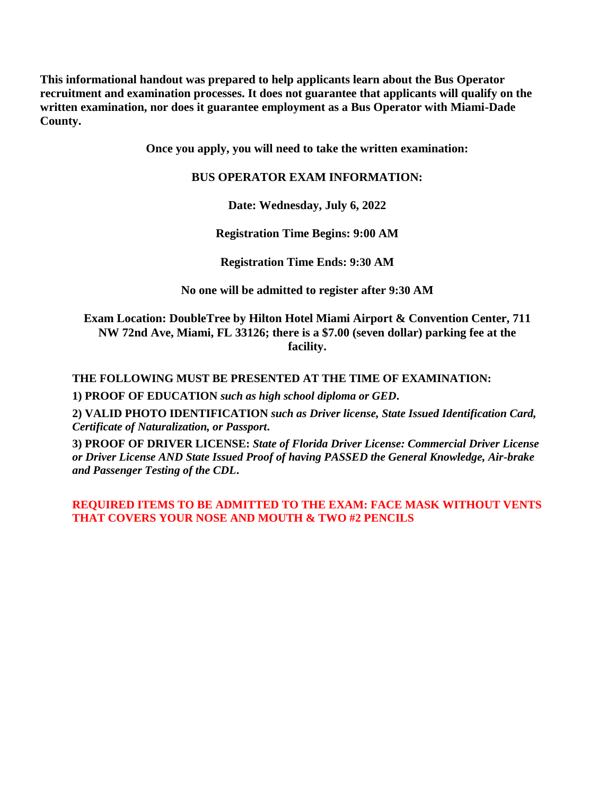**This informational handout was prepared to help applicants learn about the Bus Operator recruitment and examination processes. It does not guarantee that applicants will qualify on the written examination, nor does it guarantee employment as a Bus Operator with Miami-Dade County.**

**Once you apply, you will need to take the written examination:**

# **BUS OPERATOR EXAM INFORMATION:**

**Date: Wednesday, July 6, 2022**

**Registration Time Begins: 9:00 AM**

**Registration Time Ends: 9:30 AM**

**No one will be admitted to register after 9:30 AM**

**Exam Location: DoubleTree by Hilton Hotel Miami Airport & Convention Center, 711 NW 72nd Ave, Miami, FL 33126; there is a \$7.00 (seven dollar) parking fee at the facility.**

**THE FOLLOWING MUST BE PRESENTED AT THE TIME OF EXAMINATION:**

**1) PROOF OF EDUCATION** *such as high school diploma or GED***.**

**2) VALID PHOTO IDENTIFICATION** *such as Driver license, State Issued Identification Card, Certificate of Naturalization, or Passport***.**

**3) PROOF OF DRIVER LICENSE:** *State of Florida Driver License: Commercial Driver License or Driver License AND State Issued Proof of having PASSED the General Knowledge, Air-brake and Passenger Testing of the CDL***.**

**REQUIRED ITEMS TO BE ADMITTED TO THE EXAM: FACE MASK WITHOUT VENTS THAT COVERS YOUR NOSE AND MOUTH & TWO #2 PENCILS**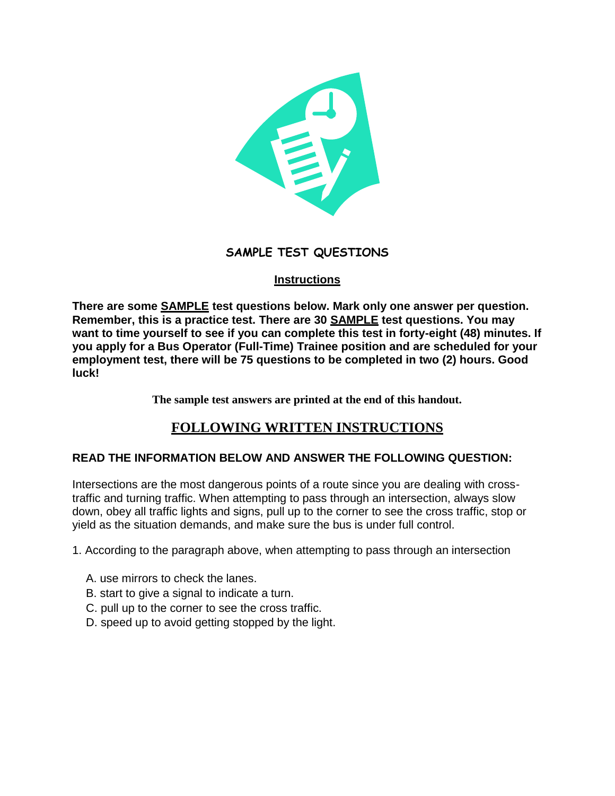

# **SAMPLE TEST QUESTIONS**

# **Instructions**

**There are some SAMPLE test questions below. Mark only one answer per question. Remember, this is a practice test. There are 30 SAMPLE test questions. You may want to time yourself to see if you can complete this test in forty-eight (48) minutes. If you apply for a Bus Operator (Full-Time) Trainee position and are scheduled for your employment test, there will be 75 questions to be completed in two (2) hours. Good luck!**

**The sample test answers are printed at the end of this handout.**

# **FOLLOWING WRITTEN INSTRUCTIONS**

# **READ THE INFORMATION BELOW AND ANSWER THE FOLLOWING QUESTION:**

Intersections are the most dangerous points of a route since you are dealing with crosstraffic and turning traffic. When attempting to pass through an intersection, always slow down, obey all traffic lights and signs, pull up to the corner to see the cross traffic, stop or yield as the situation demands, and make sure the bus is under full control.

1. According to the paragraph above, when attempting to pass through an intersection

- A. use mirrors to check the lanes.
- B. start to give a signal to indicate a turn.
- C. pull up to the corner to see the cross traffic.
- D. speed up to avoid getting stopped by the light.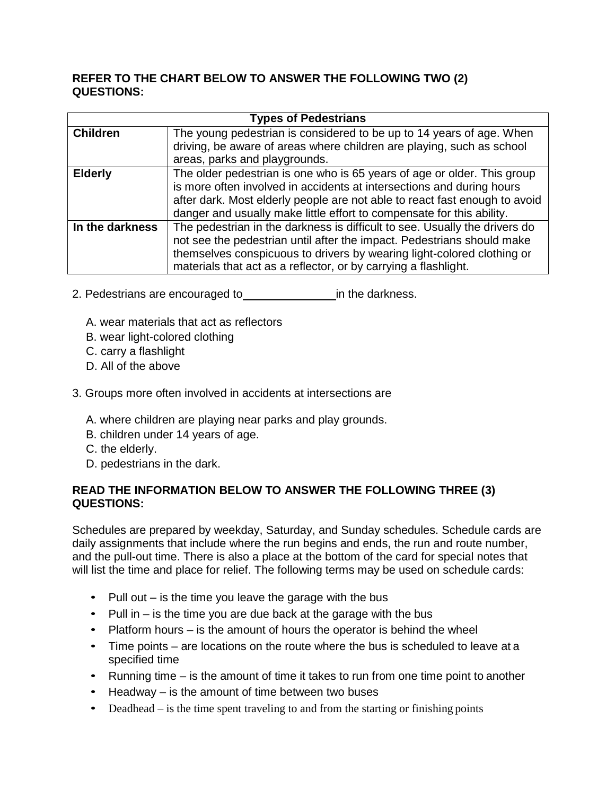# **REFER TO THE CHART BELOW TO ANSWER THE FOLLOWING TWO (2) QUESTIONS:**

| <b>Types of Pedestrians</b> |                                                                                                                                                                                                                                                                                                         |  |  |  |  |
|-----------------------------|---------------------------------------------------------------------------------------------------------------------------------------------------------------------------------------------------------------------------------------------------------------------------------------------------------|--|--|--|--|
| <b>Children</b>             | The young pedestrian is considered to be up to 14 years of age. When<br>driving, be aware of areas where children are playing, such as school                                                                                                                                                           |  |  |  |  |
|                             | areas, parks and playgrounds.                                                                                                                                                                                                                                                                           |  |  |  |  |
| <b>Elderly</b>              | The older pedestrian is one who is 65 years of age or older. This group<br>is more often involved in accidents at intersections and during hours<br>after dark. Most elderly people are not able to react fast enough to avoid<br>danger and usually make little effort to compensate for this ability. |  |  |  |  |
| In the darkness             | The pedestrian in the darkness is difficult to see. Usually the drivers do<br>not see the pedestrian until after the impact. Pedestrians should make<br>themselves conspicuous to drivers by wearing light-colored clothing or<br>materials that act as a reflector, or by carrying a flashlight.       |  |  |  |  |

- 2. Pedestrians are encouraged to in the darkness.
	- A. wear materials that act as reflectors
	- B. wear light-colored clothing
	- C. carry a flashlight
	- D. All of the above
- 3. Groups more often involved in accidents at intersections are
	- A. where children are playing near parks and play grounds.
	- B. children under 14 years of age.
	- C. the elderly.
	- D. pedestrians in the dark.

# **READ THE INFORMATION BELOW TO ANSWER THE FOLLOWING THREE (3) QUESTIONS:**

Schedules are prepared by weekday, Saturday, and Sunday schedules. Schedule cards are daily assignments that include where the run begins and ends, the run and route number, and the pull-out time. There is also a place at the bottom of the card for special notes that will list the time and place for relief. The following terms may be used on schedule cards:

- Pull out is the time you leave the garage with the bus
- Pull in  $-$  is the time you are due back at the garage with the bus
- Platform hours is the amount of hours the operator is behind the wheel
- Time points are locations on the route where the bus is scheduled to leave at a specified time
- Running time is the amount of time it takes to run from one time point to another
- Headway is the amount of time between two buses
- Deadhead is the time spent traveling to and from the starting or finishing points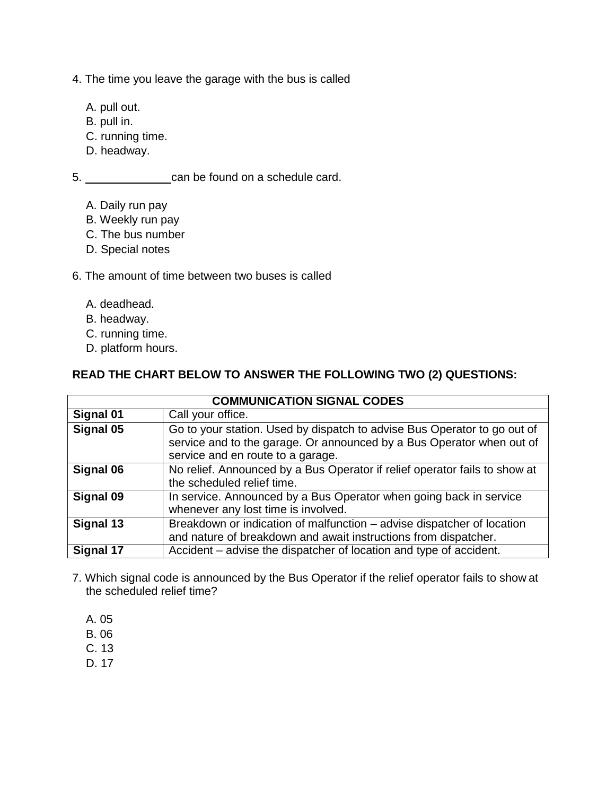- 4. The time you leave the garage with the bus is called
	- A. pull out.
	- B. pull in.
	- C. running time.
	- D. headway.

5. can be found on a schedule card.

- A. Daily run pay
- B. Weekly run pay
- C. The bus number
- D. Special notes
- 6. The amount of time between two buses is called
	- A. deadhead.
	- B. headway.
	- C. running time.
	- D. platform hours.

# **READ THE CHART BELOW TO ANSWER THE FOLLOWING TWO (2) QUESTIONS:**

| <b>COMMUNICATION SIGNAL CODES</b> |                                                                                                                                                                                        |  |  |  |
|-----------------------------------|----------------------------------------------------------------------------------------------------------------------------------------------------------------------------------------|--|--|--|
| Signal 01                         | Call your office.                                                                                                                                                                      |  |  |  |
| Signal 05                         | Go to your station. Used by dispatch to advise Bus Operator to go out of<br>service and to the garage. Or announced by a Bus Operator when out of<br>service and en route to a garage. |  |  |  |
| Signal 06                         | No relief. Announced by a Bus Operator if relief operator fails to show at<br>the scheduled relief time.                                                                               |  |  |  |
| Signal 09                         | In service. Announced by a Bus Operator when going back in service<br>whenever any lost time is involved.                                                                              |  |  |  |
| Signal 13                         | Breakdown or indication of malfunction – advise dispatcher of location<br>and nature of breakdown and await instructions from dispatcher.                                              |  |  |  |
| Signal 17                         | Accident – advise the dispatcher of location and type of accident.                                                                                                                     |  |  |  |

- 7. Which signal code is announced by the Bus Operator if the relief operator fails to show at the scheduled relief time?
	- A. 05
	- B. 06
	- C. 13
	- D. 17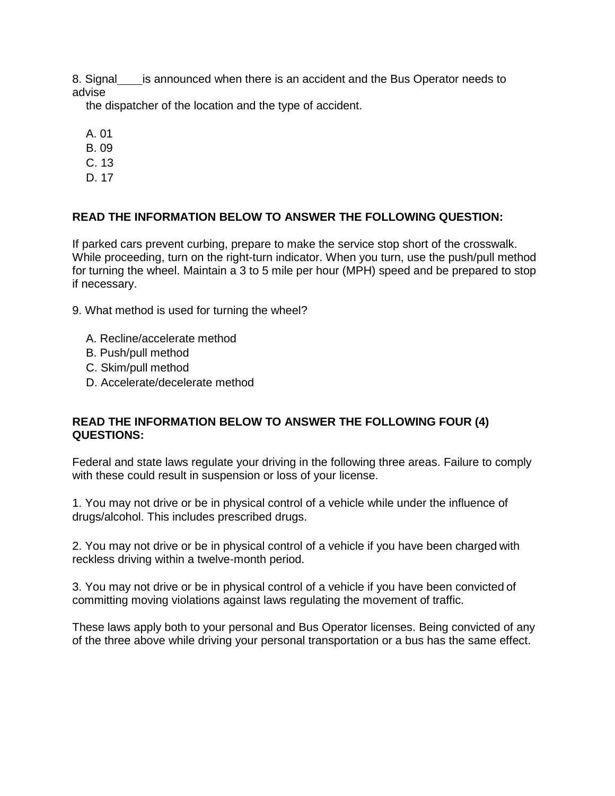8. Signal is announced when there is an accident and the Bus Operator needs to advise

the dispatcher of the location and the type of accident.

- A. 01
- B. 09
- C. 13
- D. 17

# **READ THE INFORMATION BELOW TO ANSWER THE FOLLOWING QUESTION:**

If parked cars prevent curbing, prepare to make the service stop short of the crosswalk. While proceeding, turn on the right-turn indicator. When you turn, use the push/pull method for turning the wheel. Maintain a 3 to 5 mile per hour (MPH) speed and be prepared to stop if necessary.

9. What method is used for turning the wheel?

- A. Recline/accelerate method
- B. Push/pull method
- C. Skim/pull method
- D. Accelerate/decelerate method

# **READ THE INFORMATION BELOW TO ANSWER THE FOLLOWING FOUR (4) QUESTIONS:**

Federal and state laws regulate your driving in the following three areas. Failure to comply with these could result in suspension or loss of your license.

1. You may not drive or be in physical control of a vehicle while under the influence of drugs/alcohol. This includes prescribed drugs.

2. You may not drive or be in physical control of a vehicle if you have been charged with reckless driving within a twelve-month period.

3. You may not drive or be in physical control of a vehicle if you have been convicted of committing moving violations against laws regulating the movement of traffic.

These laws apply both to your personal and Bus Operator licenses. Being convicted of any of the three above while driving your personal transportation or a bus has the same effect.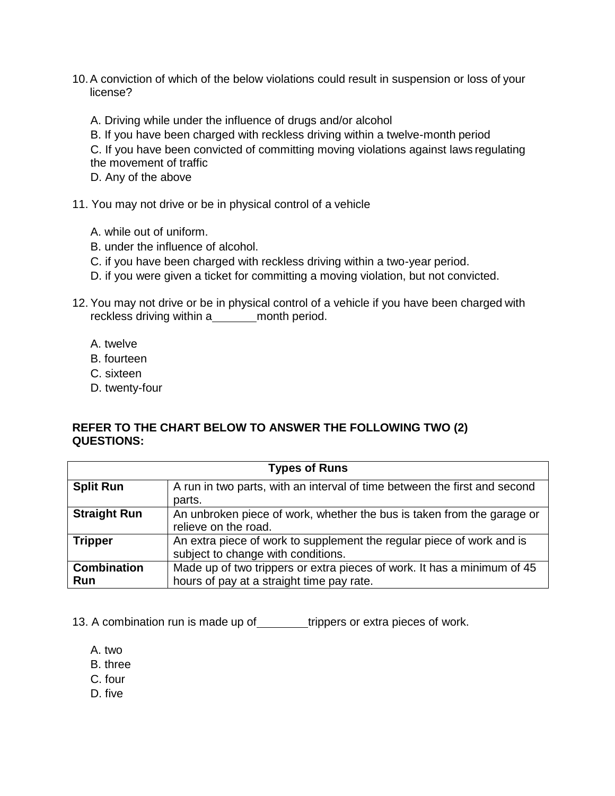10.A conviction of which of the below violations could result in suspension or loss of your license?

A. Driving while under the influence of drugs and/or alcohol

B. If you have been charged with reckless driving within a twelve-month period

C. If you have been convicted of committing moving violations against laws regulating the movement of traffic

D. Any of the above

11. You may not drive or be in physical control of a vehicle

- A. while out of uniform.
- B. under the influence of alcohol.
- C. if you have been charged with reckless driving within a two-year period.
- D. if you were given a ticket for committing a moving violation, but not convicted.
- 12. You may not drive or be in physical control of a vehicle if you have been charged with reckless driving within a\_\_\_\_\_\_\_\_ month period.
	- A. twelve
	- B. fourteen
	- C. sixteen
	- D. twenty-four

# **REFER TO THE CHART BELOW TO ANSWER THE FOLLOWING TWO (2) QUESTIONS:**

| <b>Types of Runs</b>      |                                                                                                                      |  |  |  |  |
|---------------------------|----------------------------------------------------------------------------------------------------------------------|--|--|--|--|
| <b>Split Run</b>          | A run in two parts, with an interval of time between the first and second                                            |  |  |  |  |
|                           | parts.                                                                                                               |  |  |  |  |
| <b>Straight Run</b>       | An unbroken piece of work, whether the bus is taken from the garage or<br>relieve on the road.                       |  |  |  |  |
| <b>Tripper</b>            | An extra piece of work to supplement the regular piece of work and is<br>subject to change with conditions.          |  |  |  |  |
| <b>Combination</b><br>Run | Made up of two trippers or extra pieces of work. It has a minimum of 45<br>hours of pay at a straight time pay rate. |  |  |  |  |

13. A combination run is made up of trippers or extra pieces of work.

- A. two
- B. three
- C. four
- D. five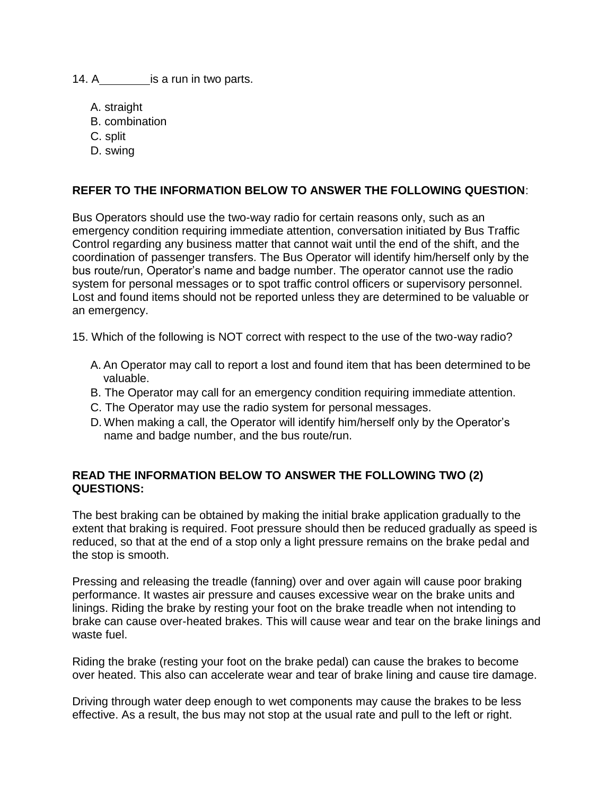14. A is a run in two parts.

- A. straight
- B. combination
- C. split
- D. swing

# **REFER TO THE INFORMATION BELOW TO ANSWER THE FOLLOWING QUESTION**:

Bus Operators should use the two-way radio for certain reasons only, such as an emergency condition requiring immediate attention, conversation initiated by Bus Traffic Control regarding any business matter that cannot wait until the end of the shift, and the coordination of passenger transfers. The Bus Operator will identify him/herself only by the bus route/run, Operator's name and badge number. The operator cannot use the radio system for personal messages or to spot traffic control officers or supervisory personnel. Lost and found items should not be reported unless they are determined to be valuable or an emergency.

15. Which of the following is NOT correct with respect to the use of the two-way radio?

- A. An Operator may call to report a lost and found item that has been determined to be valuable.
- B. The Operator may call for an emergency condition requiring immediate attention.
- C. The Operator may use the radio system for personal messages.
- D. When making a call, the Operator will identify him/herself only by the Operator's name and badge number, and the bus route/run.

# **READ THE INFORMATION BELOW TO ANSWER THE FOLLOWING TWO (2) QUESTIONS:**

The best braking can be obtained by making the initial brake application gradually to the extent that braking is required. Foot pressure should then be reduced gradually as speed is reduced, so that at the end of a stop only a light pressure remains on the brake pedal and the stop is smooth.

Pressing and releasing the treadle (fanning) over and over again will cause poor braking performance. It wastes air pressure and causes excessive wear on the brake units and linings. Riding the brake by resting your foot on the brake treadle when not intending to brake can cause over-heated brakes. This will cause wear and tear on the brake linings and waste fuel.

Riding the brake (resting your foot on the brake pedal) can cause the brakes to become over heated. This also can accelerate wear and tear of brake lining and cause tire damage.

Driving through water deep enough to wet components may cause the brakes to be less effective. As a result, the bus may not stop at the usual rate and pull to the left or right.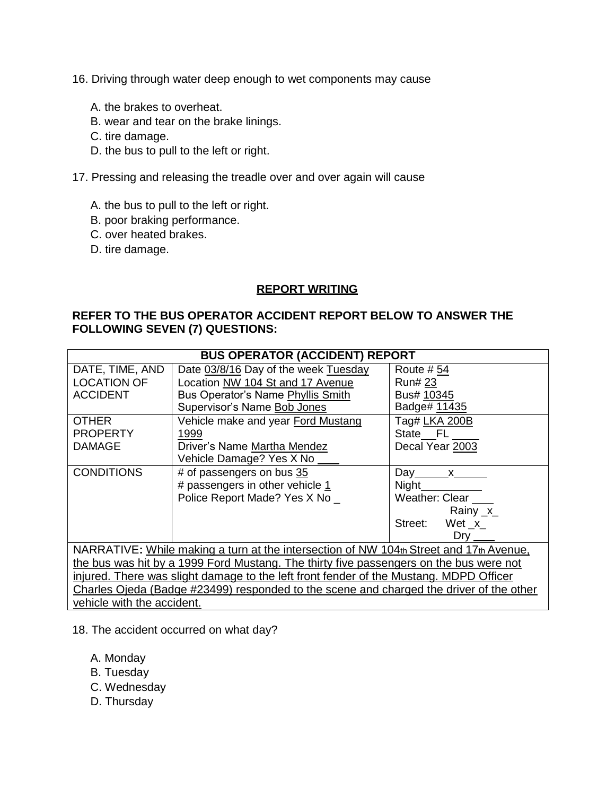- 16. Driving through water deep enough to wet components may cause
	- A. the brakes to overheat.
	- B. wear and tear on the brake linings.
	- C. tire damage.
	- D. the bus to pull to the left or right.
- 17. Pressing and releasing the treadle over and over again will cause
	- A. the bus to pull to the left or right.
	- B. poor braking performance.
	- C. over heated brakes.
	- D. tire damage.

# **REPORT WRITING**

# **REFER TO THE BUS OPERATOR ACCIDENT REPORT BELOW TO ANSWER THE FOLLOWING SEVEN (7) QUESTIONS:**

| <b>BUS OPERATOR (ACCIDENT) REPORT</b>                                                   |                                      |                    |  |  |  |  |
|-----------------------------------------------------------------------------------------|--------------------------------------|--------------------|--|--|--|--|
| DATE, TIME, AND                                                                         | Date 03/8/16 Day of the week Tuesday | Route #54          |  |  |  |  |
| <b>LOCATION OF</b>                                                                      | Location NW 104 St and 17 Avenue     | <b>Run#23</b>      |  |  |  |  |
| <b>ACCIDENT</b>                                                                         | Bus Operator's Name Phyllis Smith    | Bus# 10345         |  |  |  |  |
|                                                                                         | Supervisor's Name Bob Jones          | Badge# 11435       |  |  |  |  |
| <b>OTHER</b>                                                                            | Vehicle make and year Ford Mustang   | Tag# LKA 200B      |  |  |  |  |
| <b>PROPERTY</b>                                                                         | 1999                                 | State FL           |  |  |  |  |
| <b>DAMAGE</b>                                                                           | Driver's Name Martha Mendez          | Decal Year 2003    |  |  |  |  |
|                                                                                         | Vehicle Damage? Yes X No __          |                    |  |  |  |  |
| <b>CONDITIONS</b>                                                                       | # of passengers on bus 35            | Day $x$            |  |  |  |  |
|                                                                                         | # passengers in other vehicle 1      | Night              |  |  |  |  |
|                                                                                         | Police Report Made? Yes X No _       | Weather: Clear     |  |  |  |  |
|                                                                                         |                                      | Rainy $x$          |  |  |  |  |
|                                                                                         |                                      | Street:<br>Wet $x$ |  |  |  |  |
|                                                                                         |                                      | $Drv$ __           |  |  |  |  |
| NARRATIVE: While making a turn at the intersection of NW 104th Street and 17th Avenue.  |                                      |                    |  |  |  |  |
| the bus was hit by a 1999 Ford Mustang. The thirty five passengers on the bus were not  |                                      |                    |  |  |  |  |
| injured. There was slight damage to the left front fender of the Mustang. MDPD Officer  |                                      |                    |  |  |  |  |
| Charles Ojeda (Badge #23499) responded to the scene and charged the driver of the other |                                      |                    |  |  |  |  |
| vehicle with the accident.                                                              |                                      |                    |  |  |  |  |

- 18. The accident occurred on what day?
	- A. Monday
	- B. Tuesday
	- C. Wednesday
	- D. Thursday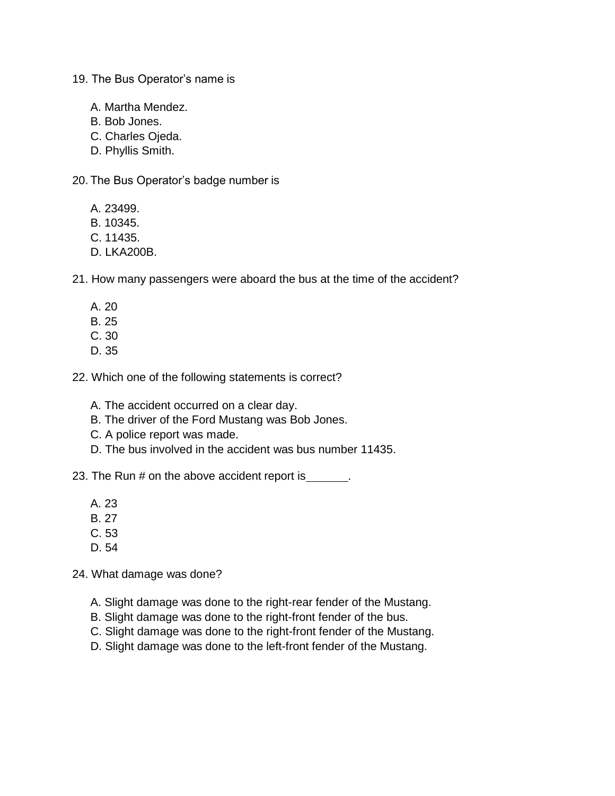- 19. The Bus Operator's name is
	- A. Martha Mendez.
	- B. Bob Jones.
	- C. Charles Ojeda.
	- D. Phyllis Smith.
- 20. The Bus Operator's badge number is
	- A. 23499.
	- B. 10345.
	- C. 11435.
	- D. LKA200B.
- 21. How many passengers were aboard the bus at the time of the accident?
	- A. 20
	- B. 25
	- C. 30
	- D. 35
- 22. Which one of the following statements is correct?
	- A. The accident occurred on a clear day.
	- B. The driver of the Ford Mustang was Bob Jones.
	- C. A police report was made.
	- D. The bus involved in the accident was bus number 11435.
- 23. The Run # on the above accident report is \_\_\_\_\_\_.
	- A. 23
	- B. 27
	- C. 53
	- D. 54
- 24. What damage was done?
	- A. Slight damage was done to the right-rear fender of the Mustang.
	- B. Slight damage was done to the right-front fender of the bus.
	- C. Slight damage was done to the right-front fender of the Mustang.
	- D. Slight damage was done to the left-front fender of the Mustang.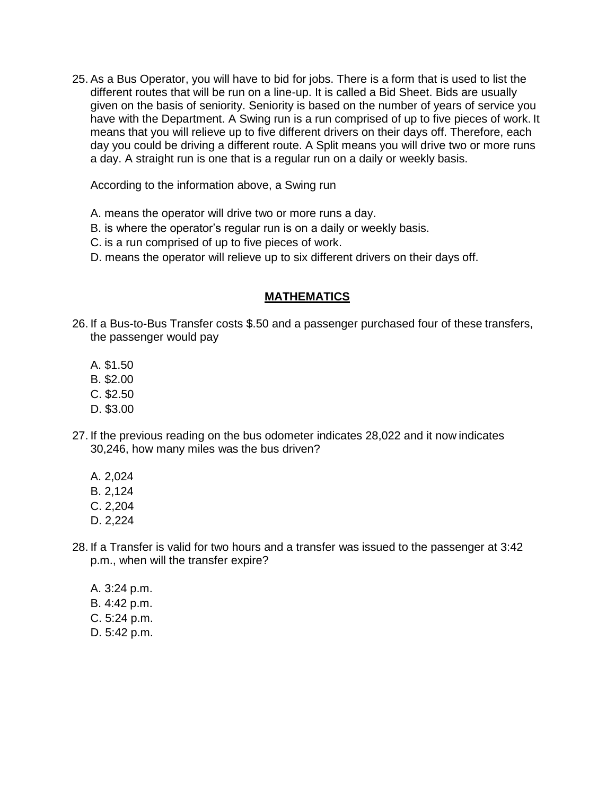25. As a Bus Operator, you will have to bid for jobs. There is a form that is used to list the different routes that will be run on a line-up. It is called a Bid Sheet. Bids are usually given on the basis of seniority. Seniority is based on the number of years of service you have with the Department. A Swing run is a run comprised of up to five pieces of work. It means that you will relieve up to five different drivers on their days off. Therefore, each day you could be driving a different route. A Split means you will drive two or more runs a day. A straight run is one that is a regular run on a daily or weekly basis.

According to the information above, a Swing run

- A. means the operator will drive two or more runs a day.
- B. is where the operator's regular run is on a daily or weekly basis.
- C. is a run comprised of up to five pieces of work.
- D. means the operator will relieve up to six different drivers on their days off.

# **MATHEMATICS**

- 26. If a Bus-to-Bus Transfer costs \$.50 and a passenger purchased four of these transfers, the passenger would pay
	- A. \$1.50
	- B. \$2.00
	- C. \$2.50
	- D. \$3.00
- 27. If the previous reading on the bus odometer indicates 28,022 and it now indicates 30,246, how many miles was the bus driven?
	- A. 2,024
	- B. 2,124
	- C. 2,204
	- D. 2,224
- 28. If a Transfer is valid for two hours and a transfer was issued to the passenger at 3:42 p.m., when will the transfer expire?
	- A. 3:24 p.m. B. 4:42 p.m. C. 5:24 p.m. D. 5:42 p.m.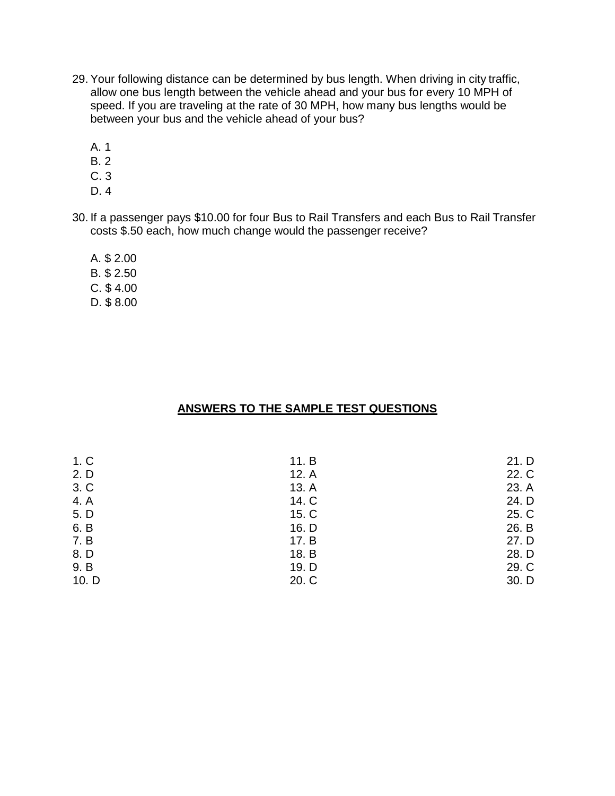- 29. Your following distance can be determined by bus length. When driving in city traffic, allow one bus length between the vehicle ahead and your bus for every 10 MPH of speed. If you are traveling at the rate of 30 MPH, how many bus lengths would be between your bus and the vehicle ahead of your bus?
	- A. 1
	- B. 2
	- C. 3
	- D. 4
- 30. If a passenger pays \$10.00 for four Bus to Rail Transfers and each Bus to Rail Transfer costs \$.50 each, how much change would the passenger receive?
	- A. \$ 2.00 B. \$ 2.50 C. \$ 4.00 D. \$ 8.00

# **ANSWERS TO THE SAMPLE TEST QUESTIONS**

| 11. B<br>12. A | 21. D<br>22. C |
|----------------|----------------|
| 13. A          | 23. A          |
| 14. C          | 24. D          |
| 15. C          | 25. C          |
| 16. D          | 26. B          |
| 17. B          | 27. D          |
| 18. B          | 28. D          |
| 19. D          | 29. C          |
| 20. C          | 30. D          |
|                |                |